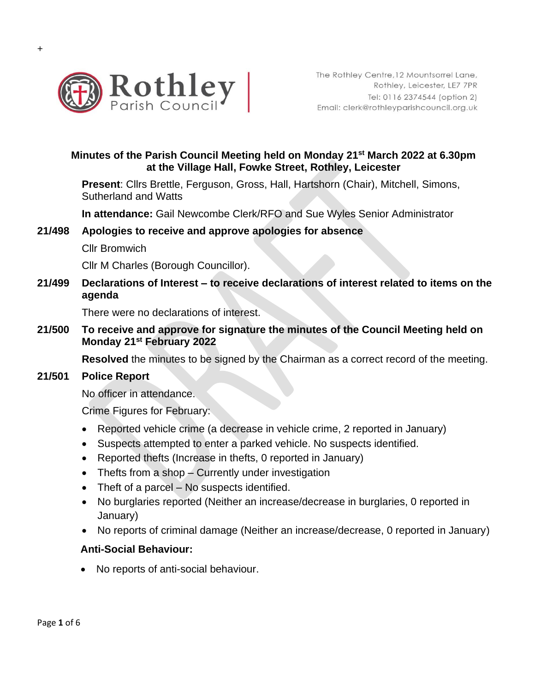

# **Minutes of the Parish Council Meeting held on Monday 21 st March 2022 at 6.30pm at the Village Hall, Fowke Street, Rothley, Leicester**

**Present**: Cllrs Brettle, Ferguson, Gross, Hall, Hartshorn (Chair), Mitchell, Simons, Sutherland and Watts

**In attendance:** Gail Newcombe Clerk/RFO and Sue Wyles Senior Administrator

#### **21/498 Apologies to receive and approve apologies for absence**

Cllr Bromwich

Cllr M Charles (Borough Councillor).

**21/499 Declarations of Interest – to receive declarations of interest related to items on the agenda**

There were no declarations of interest.

**21/500 To receive and approve for signature the minutes of the Council Meeting held on Monday 21st February 2022**

**Resolved** the minutes to be signed by the Chairman as a correct record of the meeting.

#### **21/501 Police Report**

No officer in attendance.

Crime Figures for February:

- Reported vehicle crime (a decrease in vehicle crime, 2 reported in January)
- Suspects attempted to enter a parked vehicle. No suspects identified.
- Reported thefts (Increase in thefts, 0 reported in January)
- Thefts from a shop Currently under investigation
- Theft of a parcel No suspects identified.
- No burglaries reported (Neither an increase/decrease in burglaries, 0 reported in January)
- No reports of criminal damage (Neither an increase/decrease, 0 reported in January)

#### **Anti-Social Behaviour:**

• No reports of anti-social behaviour.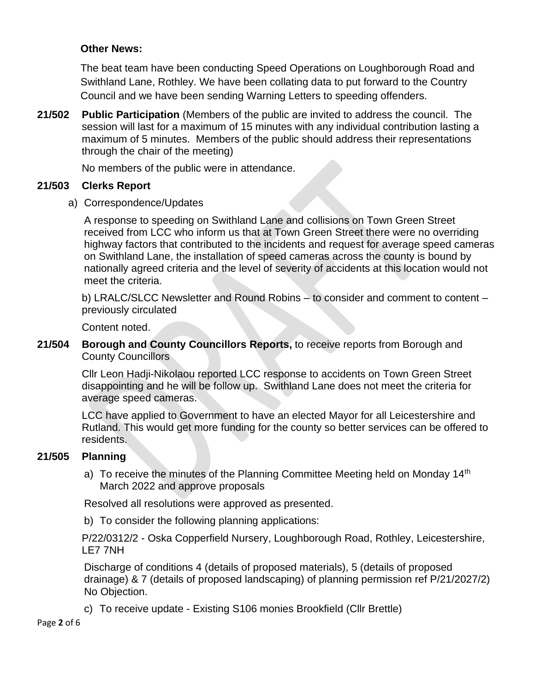### **Other News:**

The beat team have been conducting Speed Operations on Loughborough Road and Swithland Lane, Rothley. We have been collating data to put forward to the Country Council and we have been sending Warning Letters to speeding offenders.

**21/502 Public Participation** (Members of the public are invited to address the council. The session will last for a maximum of 15 minutes with any individual contribution lasting a maximum of 5 minutes. Members of the public should address their representations through the chair of the meeting)

No members of the public were in attendance.

## **21/503 Clerks Report**

a) Correspondence/Updates

A response to speeding on Swithland Lane and collisions on Town Green Street received from LCC who inform us that at Town Green Street there were no overriding highway factors that contributed to the incidents and request for average speed cameras on Swithland Lane, the installation of speed cameras across the county is bound by nationally agreed criteria and the level of severity of accidents at this location would not meet the criteria.

b) LRALC/SLCC Newsletter and Round Robins – to consider and comment to content – previously circulated

Content noted.

## **21/504 Borough and County Councillors Reports,** to receive reports from Borough and County Councillors

Cllr Leon Hadji-Nikolaou reported LCC response to accidents on Town Green Street disappointing and he will be follow up. Swithland Lane does not meet the criteria for average speed cameras.

LCC have applied to Government to have an elected Mayor for all Leicestershire and Rutland. This would get more funding for the county so better services can be offered to residents.

# **21/505 Planning**

a) To receive the minutes of the Planning Committee Meeting held on Monday 14<sup>th</sup> March 2022 and approve proposals

Resolved all resolutions were approved as presented.

b) To consider the following planning applications:

P/22/0312/2 - Oska Copperfield Nursery, Loughborough Road, Rothley, Leicestershire, LE7 7NH

Discharge of conditions 4 (details of proposed materials), 5 (details of proposed drainage) & 7 (details of proposed landscaping) of planning permission ref P/21/2027/2) No Objection.

c) To receive update - Existing S106 monies Brookfield (Cllr Brettle)

Page **2** of 6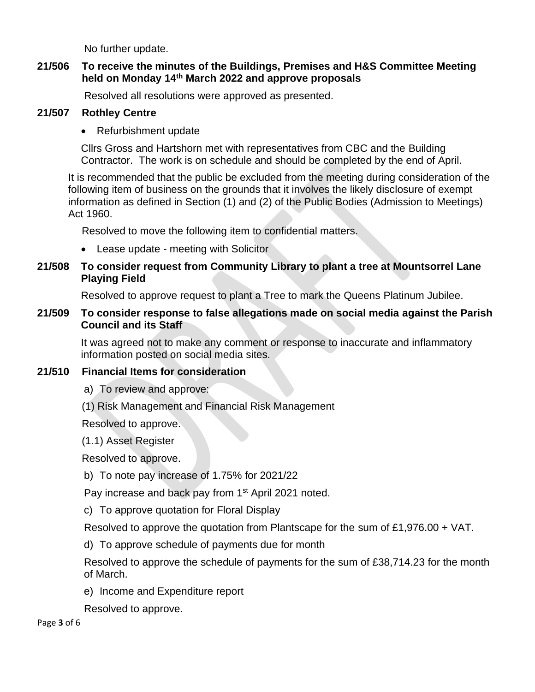No further update.

### **21/506 To receive the minutes of the Buildings, Premises and H&S Committee Meeting held on Monday 14th March 2022 and approve proposals**

Resolved all resolutions were approved as presented.

## **21/507 Rothley Centre**

• Refurbishment update

Cllrs Gross and Hartshorn met with representatives from CBC and the Building Contractor. The work is on schedule and should be completed by the end of April.

It is recommended that the public be excluded from the meeting during consideration of the following item of business on the grounds that it involves the likely disclosure of exempt information as defined in Section (1) and (2) of the Public Bodies (Admission to Meetings) Act 1960.

Resolved to move the following item to confidential matters.

- Lease update meeting with Solicitor
- **21/508 To consider request from Community Library to plant a tree at Mountsorrel Lane Playing Field**

Resolved to approve request to plant a Tree to mark the Queens Platinum Jubilee.

# **21/509 To consider response to false allegations made on social media against the Parish Council and its Staff**

It was agreed not to make any comment or response to inaccurate and inflammatory information posted on social media sites.

# **21/510 Financial Items for consideration**

a) To review and approve:

(1) Risk Management and Financial Risk Management

Resolved to approve.

(1.1) Asset Register

Resolved to approve.

b) To note pay increase of 1.75% for 2021/22

Pay increase and back pay from 1<sup>st</sup> April 2021 noted.

c) To approve quotation for Floral Display

Resolved to approve the quotation from Plantscape for the sum of £1,976.00 + VAT.

d) To approve schedule of payments due for month

Resolved to approve the schedule of payments for the sum of £38,714.23 for the month of March.

e) Income and Expenditure report

Resolved to approve.